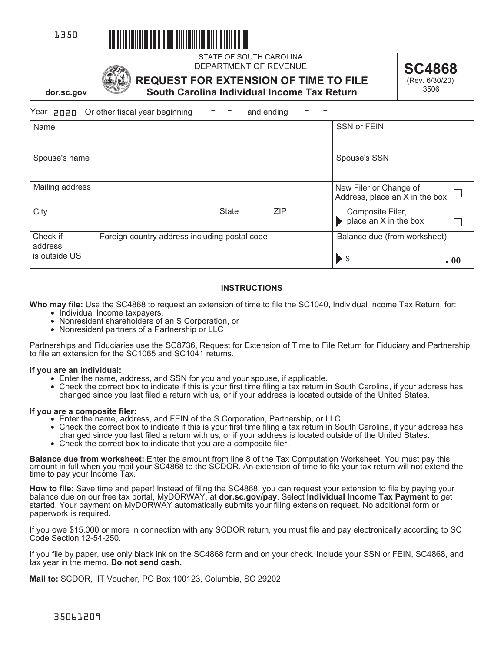

**dor.sc.gov**





STATE OF SOUTH CAROLINA DEPARTMENT OF REVENUE **SC4868** 

**REQUEST FOR EXTENSION OF TIME TO FILE South Carolina Individual Income Tax Return**

(Rev. 6/30/20) 3506

 $\text{Year}$  **and**  $\text{OPT}$   $\text{OPT}$  or other fiscal year beginning  $\text{---}$   $\text{---}$  and ending  $\text{---}$   $\text{---}$ 

| Name                |                                               | SSN or FEIN                                                       |
|---------------------|-----------------------------------------------|-------------------------------------------------------------------|
| Spouse's name       |                                               | Spouse's SSN                                                      |
| Mailing address     |                                               | New Filer or Change of<br>Address, place an $X$ in the box $\Box$ |
| City                | <b>ZIP</b><br><b>State</b>                    | Composite Filer,<br>place an X in the box                         |
| Check if<br>address | Foreign country address including postal code | Balance due (from worksheet)                                      |
| is outside US       |                                               | $\blacktriangleright$ \$<br>- 00                                  |

# **INSTRUCTIONS**

**Who may file:** Use the SC4868 to request an extension of time to file the SC1040, Individual Income Tax Return, for:

- Individual Income taxpayers,
- Nonresident shareholders of an S Corporation, or
- Nonresident partners of a Partnership or LLC

Partnerships and Fiduciaries use the SC8736, Request for Extension of Time to File Return for Fiduciary and Partnership, to file an extension for the SC1065 and SC1041 returns.

## **If you are an individual:**

- Enter the name, address, and SSN for you and your spouse, if applicable.
- Check the correct box to indicate if this is your first time filing a tax return in South Carolina, if your address has changed since you last filed a return with us, or if your address is located outside of the United States.

## **If you are a composite filer:**

- Enter the name, address, and FEIN of the S Corporation, Partnership, or LLC.
- Check the correct box to indicate if this is your first time filing a tax return in South Carolina, if your address has changed since you last filed a return with us, or if your address is located outside of the United States.
- Check the correct box to indicate that you are a composite filer.

**Balance due from worksheet:** Enter the amount from line 8 of the Tax Computation Worksheet. You must pay this amount in full when you mail your SC4868 to the SCDOR. An extension of time to file your tax return will not ex time to pay your Income Tax.

**How to file:** Save time and paper! Instead of filing the SC4868, you can request your extension to file by paying your balance due on our free tax portal, MyDORWAY, at **dor.sc.gov/pay**. Select **Individual Income Tax Payment** to get started. Your payment on MyDORWAY automatically submits your filing extension request. No additional form or paperwork is required.

If you owe \$15,000 or more in connection with any SCDOR return, you must file and pay electronically according to SC Code Section 12-54-250.

If you file by paper, use only black ink on the SC4868 form and on your check. Include your SSN or FEIN, SC4868, and tax year in the memo. **Do not send cash.** 

**Mail to:** SCDOR, IIT Voucher, PO Box 100123, Columbia, SC 29202